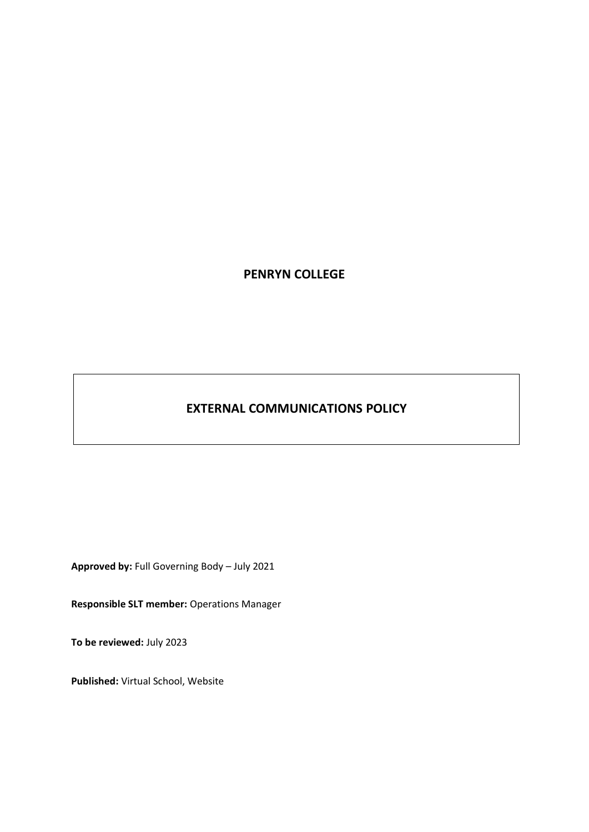# **PENRYN COLLEGE**

# **EXTERNAL COMMUNICATIONS POLICY**

**Approved by:** Full Governing Body – July 2021

**Responsible SLT member:** Operations Manager

**To be reviewed:** July 2023

**Published:** Virtual School, Website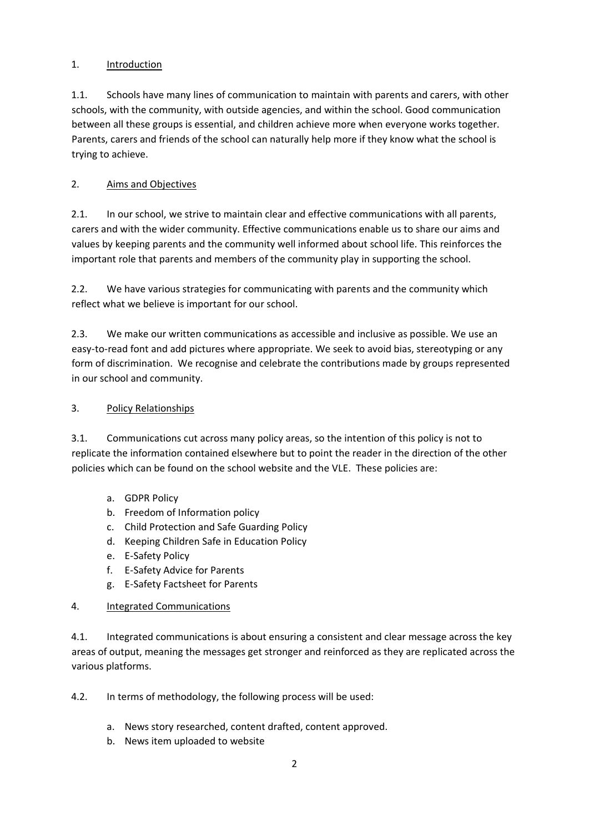# 1. Introduction

1.1. Schools have many lines of communication to maintain with parents and carers, with other schools, with the community, with outside agencies, and within the school. Good communication between all these groups is essential, and children achieve more when everyone works together. Parents, carers and friends of the school can naturally help more if they know what the school is trying to achieve.

# 2. Aims and Objectives

2.1. In our school, we strive to maintain clear and effective communications with all parents, carers and with the wider community. Effective communications enable us to share our aims and values by keeping parents and the community well informed about school life. This reinforces the important role that parents and members of the community play in supporting the school.

2.2. We have various strategies for communicating with parents and the community which reflect what we believe is important for our school.

2.3. We make our written communications as accessible and inclusive as possible. We use an easy-to-read font and add pictures where appropriate. We seek to avoid bias, stereotyping or any form of discrimination. We recognise and celebrate the contributions made by groups represented in our school and community.

# 3. Policy Relationships

3.1. Communications cut across many policy areas, so the intention of this policy is not to replicate the information contained elsewhere but to point the reader in the direction of the other policies which can be found on the school website and the VLE. These policies are:

- a. GDPR Policy
- b. Freedom of Information policy
- c. Child Protection and Safe Guarding Policy
- d. Keeping Children Safe in Education Policy
- e. E-Safety Policy
- f. E-Safety Advice for Parents
- g. E-Safety Factsheet for Parents

# 4. Integrated Communications

4.1. Integrated communications is about ensuring a consistent and clear message across the key areas of output, meaning the messages get stronger and reinforced as they are replicated across the various platforms.

4.2. In terms of methodology, the following process will be used:

- a. News story researched, content drafted, content approved.
- b. News item uploaded to website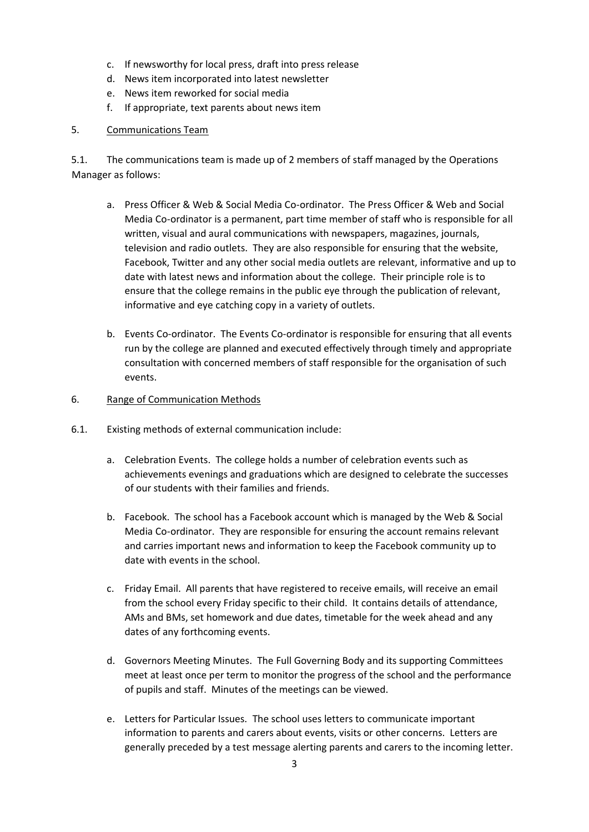- c. If newsworthy for local press, draft into press release
- d. News item incorporated into latest newsletter
- e. News item reworked for social media
- f. If appropriate, text parents about news item

### 5. Communications Team

5.1. The communications team is made up of 2 members of staff managed by the Operations Manager as follows:

- a. Press Officer & Web & Social Media Co-ordinator. The Press Officer & Web and Social Media Co-ordinator is a permanent, part time member of staff who is responsible for all written, visual and aural communications with newspapers, magazines, journals, television and radio outlets. They are also responsible for ensuring that the website, Facebook, Twitter and any other social media outlets are relevant, informative and up to date with latest news and information about the college. Their principle role is to ensure that the college remains in the public eye through the publication of relevant, informative and eye catching copy in a variety of outlets.
- b. Events Co-ordinator. The Events Co-ordinator is responsible for ensuring that all events run by the college are planned and executed effectively through timely and appropriate consultation with concerned members of staff responsible for the organisation of such events.

#### 6. Range of Communication Methods

- 6.1. Existing methods of external communication include:
	- a. Celebration Events. The college holds a number of celebration events such as achievements evenings and graduations which are designed to celebrate the successes of our students with their families and friends.
	- b. Facebook. The school has a Facebook account which is managed by the Web & Social Media Co-ordinator. They are responsible for ensuring the account remains relevant and carries important news and information to keep the Facebook community up to date with events in the school.
	- c. Friday Email. All parents that have registered to receive emails, will receive an email from the school every Friday specific to their child. It contains details of attendance, AMs and BMs, set homework and due dates, timetable for the week ahead and any dates of any forthcoming events.
	- d. Governors Meeting Minutes. The Full Governing Body and its supporting Committees meet at least once per term to monitor the progress of the school and the performance of pupils and staff. Minutes of the meetings can be viewed.
	- e. Letters for Particular Issues. The school uses letters to communicate important information to parents and carers about events, visits or other concerns. Letters are generally preceded by a test message alerting parents and carers to the incoming letter.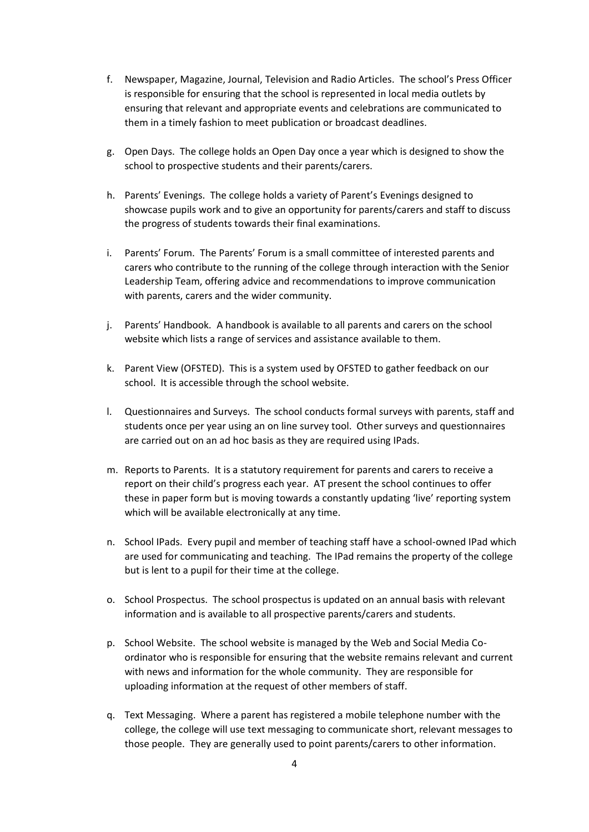- f. Newspaper, Magazine, Journal, Television and Radio Articles. The school's Press Officer is responsible for ensuring that the school is represented in local media outlets by ensuring that relevant and appropriate events and celebrations are communicated to them in a timely fashion to meet publication or broadcast deadlines.
- g. Open Days. The college holds an Open Day once a year which is designed to show the school to prospective students and their parents/carers.
- h. Parents' Evenings. The college holds a variety of Parent's Evenings designed to showcase pupils work and to give an opportunity for parents/carers and staff to discuss the progress of students towards their final examinations.
- i. Parents' Forum. The Parents' Forum is a small committee of interested parents and carers who contribute to the running of the college through interaction with the Senior Leadership Team, offering advice and recommendations to improve communication with parents, carers and the wider community.
- j. Parents' Handbook. A handbook is available to all parents and carers on the school website which lists a range of services and assistance available to them.
- k. Parent View (OFSTED). This is a system used by OFSTED to gather feedback on our school. It is accessible through the school website.
- l. Questionnaires and Surveys. The school conducts formal surveys with parents, staff and students once per year using an on line survey tool. Other surveys and questionnaires are carried out on an ad hoc basis as they are required using IPads.
- m. Reports to Parents. It is a statutory requirement for parents and carers to receive a report on their child's progress each year. AT present the school continues to offer these in paper form but is moving towards a constantly updating 'live' reporting system which will be available electronically at any time.
- n. School IPads. Every pupil and member of teaching staff have a school-owned IPad which are used for communicating and teaching. The IPad remains the property of the college but is lent to a pupil for their time at the college.
- o. School Prospectus. The school prospectus is updated on an annual basis with relevant information and is available to all prospective parents/carers and students.
- p. School Website. The school website is managed by the Web and Social Media Coordinator who is responsible for ensuring that the website remains relevant and current with news and information for the whole community. They are responsible for uploading information at the request of other members of staff.
- q. Text Messaging. Where a parent has registered a mobile telephone number with the college, the college will use text messaging to communicate short, relevant messages to those people. They are generally used to point parents/carers to other information.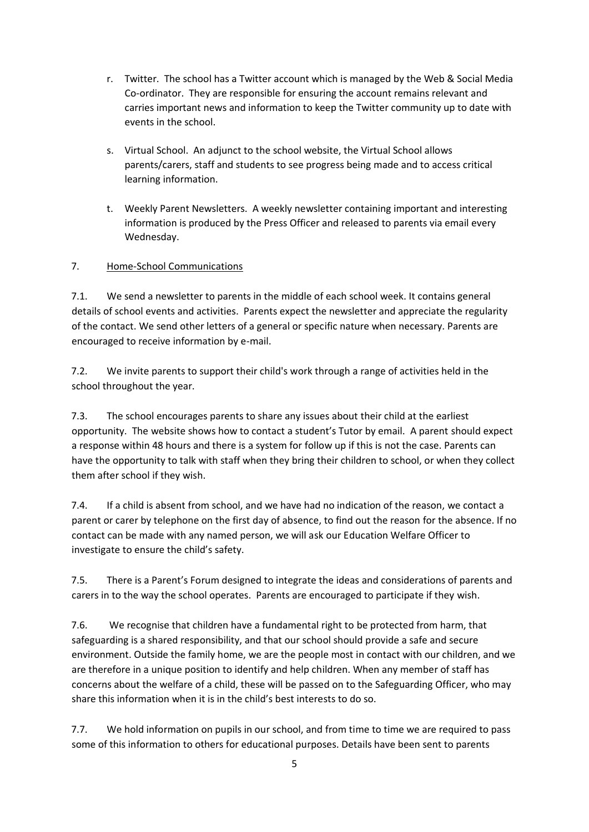- r. Twitter. The school has a Twitter account which is managed by the Web & Social Media Co-ordinator. They are responsible for ensuring the account remains relevant and carries important news and information to keep the Twitter community up to date with events in the school.
- s. Virtual School. An adjunct to the school website, the Virtual School allows parents/carers, staff and students to see progress being made and to access critical learning information.
- t. Weekly Parent Newsletters. A weekly newsletter containing important and interesting information is produced by the Press Officer and released to parents via email every Wednesday.

# 7. Home-School Communications

7.1. We send a newsletter to parents in the middle of each school week. It contains general details of school events and activities. Parents expect the newsletter and appreciate the regularity of the contact. We send other letters of a general or specific nature when necessary. Parents are encouraged to receive information by e-mail.

7.2. We invite parents to support their child's work through a range of activities held in the school throughout the year.

7.3. The school encourages parents to share any issues about their child at the earliest opportunity. The website shows how to contact a student's Tutor by email. A parent should expect a response within 48 hours and there is a system for follow up if this is not the case. Parents can have the opportunity to talk with staff when they bring their children to school, or when they collect them after school if they wish.

7.4. If a child is absent from school, and we have had no indication of the reason, we contact a parent or carer by telephone on the first day of absence, to find out the reason for the absence. If no contact can be made with any named person, we will ask our Education Welfare Officer to investigate to ensure the child's safety.

7.5. There is a Parent's Forum designed to integrate the ideas and considerations of parents and carers in to the way the school operates. Parents are encouraged to participate if they wish.

7.6. We recognise that children have a fundamental right to be protected from harm, that safeguarding is a shared responsibility, and that our school should provide a safe and secure environment. Outside the family home, we are the people most in contact with our children, and we are therefore in a unique position to identify and help children. When any member of staff has concerns about the welfare of a child, these will be passed on to the Safeguarding Officer, who may share this information when it is in the child's best interests to do so.

7.7. We hold information on pupils in our school, and from time to time we are required to pass some of this information to others for educational purposes. Details have been sent to parents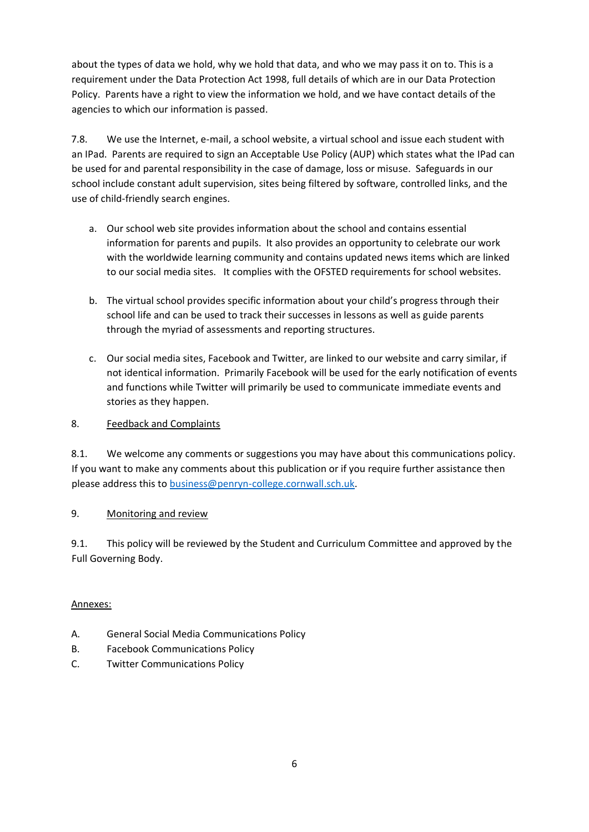about the types of data we hold, why we hold that data, and who we may pass it on to. This is a requirement under the Data Protection Act 1998, full details of which are in our Data Protection Policy. Parents have a right to view the information we hold, and we have contact details of the agencies to which our information is passed.

7.8. We use the Internet, e-mail, a school website, a virtual school and issue each student with an IPad. Parents are required to sign an Acceptable Use Policy (AUP) which states what the IPad can be used for and parental responsibility in the case of damage, loss or misuse. Safeguards in our school include constant adult supervision, sites being filtered by software, controlled links, and the use of child-friendly search engines.

- a. Our school web site provides information about the school and contains essential information for parents and pupils. It also provides an opportunity to celebrate our work with the worldwide learning community and contains updated news items which are linked to our social media sites. It complies with the OFSTED requirements for school websites.
- b. The virtual school provides specific information about your child's progress through their school life and can be used to track their successes in lessons as well as guide parents through the myriad of assessments and reporting structures.
- c. Our social media sites, Facebook and Twitter, are linked to our website and carry similar, if not identical information. Primarily Facebook will be used for the early notification of events and functions while Twitter will primarily be used to communicate immediate events and stories as they happen.

# 8. Feedback and Complaints

8.1. We welcome any comments or suggestions you may have about this communications policy. If you want to make any comments about this publication or if you require further assistance then please address this to [business@penryn-college.cornwall.sch.uk.](mailto:business@penryn-college.cornwall.sch.uk)

# 9. Monitoring and review

9.1. This policy will be reviewed by the Student and Curriculum Committee and approved by the Full Governing Body.

# Annexes:

- A. General Social Media Communications Policy
- B. Facebook Communications Policy
- C. Twitter Communications Policy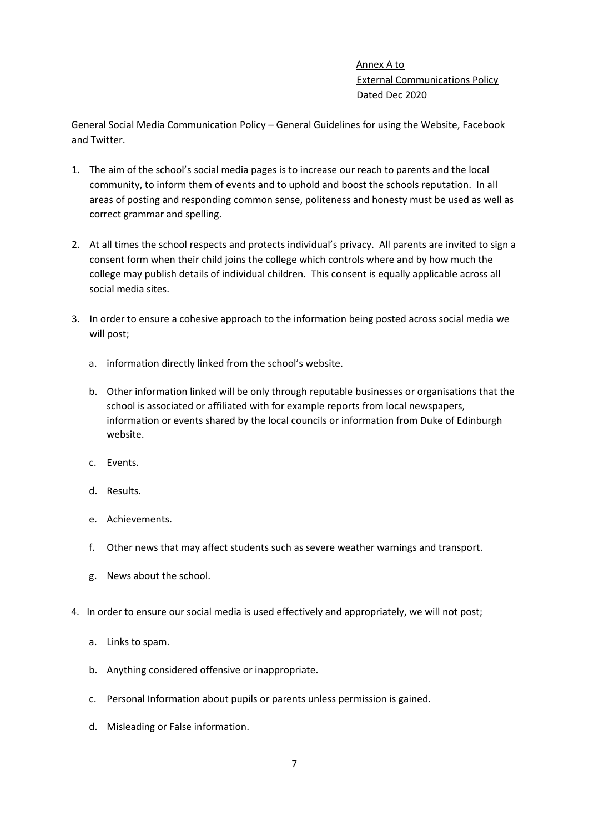Annex A to External Communications Policy Dated Dec 2020

General Social Media Communication Policy – General Guidelines for using the Website, Facebook and Twitter.

- 1. The aim of the school's social media pages is to increase our reach to parents and the local community, to inform them of events and to uphold and boost the schools reputation. In all areas of posting and responding common sense, politeness and honesty must be used as well as correct grammar and spelling.
- 2. At all times the school respects and protects individual's privacy. All parents are invited to sign a consent form when their child joins the college which controls where and by how much the college may publish details of individual children. This consent is equally applicable across all social media sites.
- 3. In order to ensure a cohesive approach to the information being posted across social media we will post;
	- a. information directly linked from the school's website.
	- b. Other information linked will be only through reputable businesses or organisations that the school is associated or affiliated with for example reports from local newspapers, information or events shared by the local councils or information from Duke of Edinburgh website.
	- c. Events.
	- d. Results.
	- e. Achievements.
	- f. Other news that may affect students such as severe weather warnings and transport.
	- g. News about the school.
- 4. In order to ensure our social media is used effectively and appropriately, we will not post;
	- a. Links to spam.
	- b. Anything considered offensive or inappropriate.
	- c. Personal Information about pupils or parents unless permission is gained.
	- d. Misleading or False information.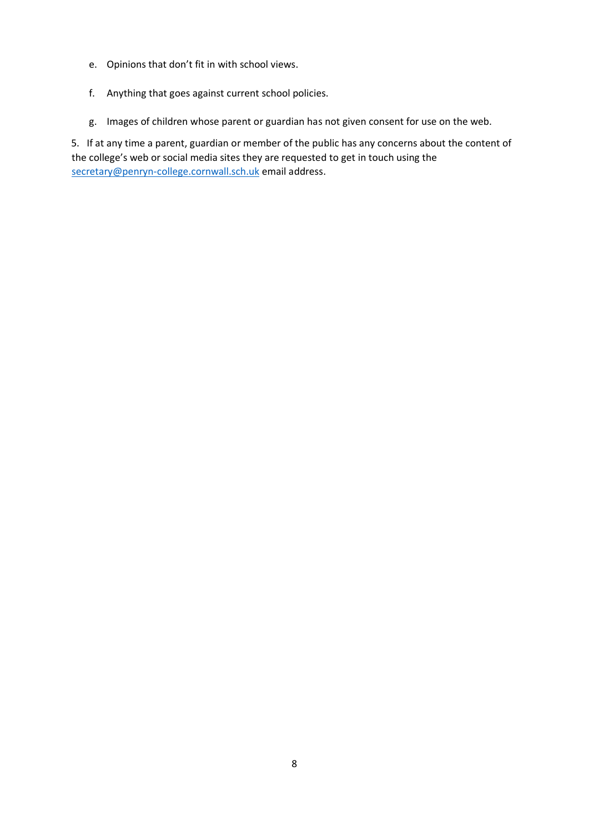- e. Opinions that don't fit in with school views.
- f. Anything that goes against current school policies.
- g. Images of children whose parent or guardian has not given consent for use on the web.

5. If at any time a parent, guardian or member of the public has any concerns about the content of the college's web or social media sites they are requested to get in touch using the [secretary@penryn-college.cornwall.sch.uk](mailto:secretary@penryn-college.cornwall.sch.uk) email address.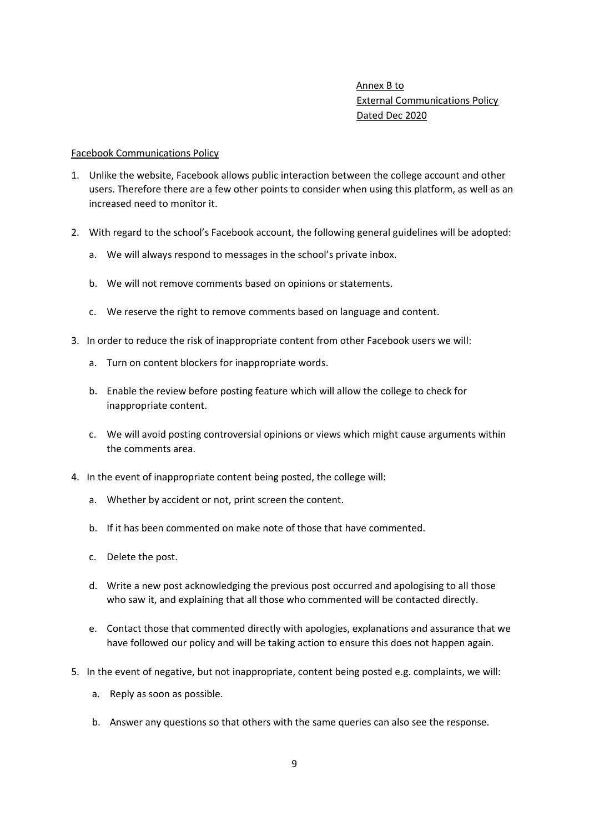# Annex B to External Communications Policy Dated Dec 2020

#### Facebook Communications Policy

- 1. Unlike the website, Facebook allows public interaction between the college account and other users. Therefore there are a few other points to consider when using this platform, as well as an increased need to monitor it.
- 2. With regard to the school's Facebook account, the following general guidelines will be adopted:
	- a. We will always respond to messages in the school's private inbox.
	- b. We will not remove comments based on opinions or statements.
	- c. We reserve the right to remove comments based on language and content.
- 3. In order to reduce the risk of inappropriate content from other Facebook users we will:
	- a. Turn on content blockers for inappropriate words.
	- b. Enable the review before posting feature which will allow the college to check for inappropriate content.
	- c. We will avoid posting controversial opinions or views which might cause arguments within the comments area.
- 4. In the event of inappropriate content being posted, the college will:
	- a. Whether by accident or not, print screen the content.
	- b. If it has been commented on make note of those that have commented.
	- c. Delete the post.
	- d. Write a new post acknowledging the previous post occurred and apologising to all those who saw it, and explaining that all those who commented will be contacted directly.
	- e. Contact those that commented directly with apologies, explanations and assurance that we have followed our policy and will be taking action to ensure this does not happen again.
- 5. In the event of negative, but not inappropriate, content being posted e.g. complaints, we will:
	- a. Reply as soon as possible.
	- b. Answer any questions so that others with the same queries can also see the response.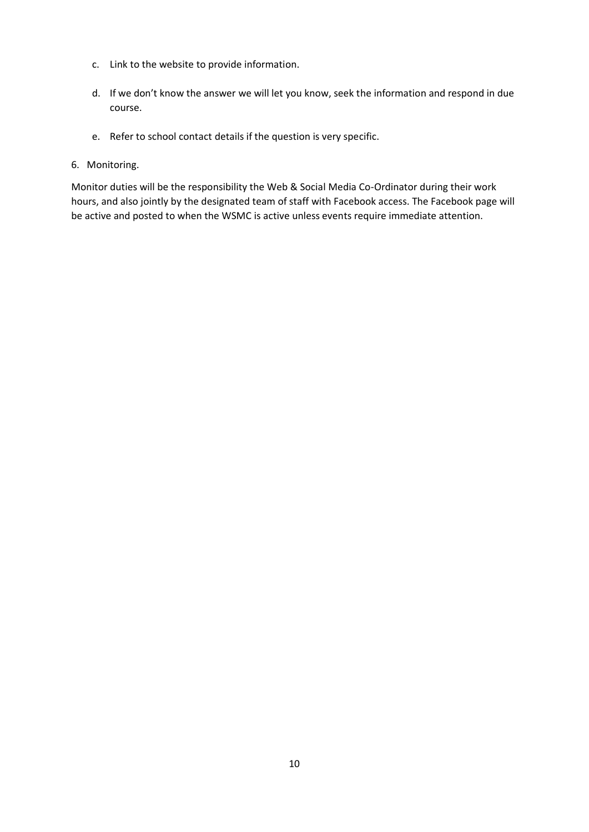- c. Link to the website to provide information.
- d. If we don't know the answer we will let you know, seek the information and respond in due course.
- e. Refer to school contact details if the question is very specific.

### 6. Monitoring.

Monitor duties will be the responsibility the Web & Social Media Co-Ordinator during their work hours, and also jointly by the designated team of staff with Facebook access. The Facebook page will be active and posted to when the WSMC is active unless events require immediate attention.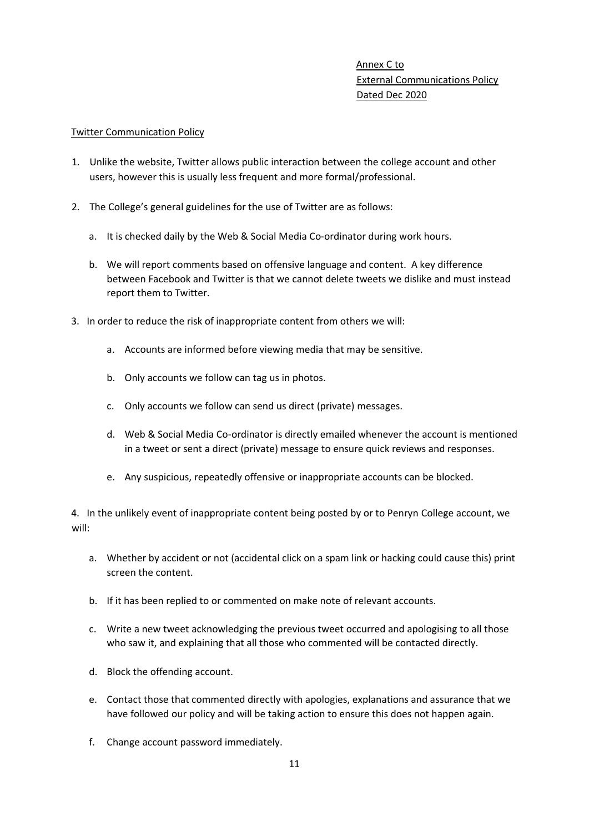# Annex C to External Communications Policy Dated Dec 2020

### Twitter Communication Policy

- 1. Unlike the website, Twitter allows public interaction between the college account and other users, however this is usually less frequent and more formal/professional.
- 2. The College's general guidelines for the use of Twitter are as follows:
	- a. It is checked daily by the Web & Social Media Co-ordinator during work hours.
	- b. We will report comments based on offensive language and content. A key difference between Facebook and Twitter is that we cannot delete tweets we dislike and must instead report them to Twitter.
- 3. In order to reduce the risk of inappropriate content from others we will:
	- a. Accounts are informed before viewing media that may be sensitive.
	- b. Only accounts we follow can tag us in photos.
	- c. Only accounts we follow can send us direct (private) messages.
	- d. Web & Social Media Co-ordinator is directly emailed whenever the account is mentioned in a tweet or sent a direct (private) message to ensure quick reviews and responses.
	- e. Any suspicious, repeatedly offensive or inappropriate accounts can be blocked.

4. In the unlikely event of inappropriate content being posted by or to Penryn College account, we will:

- a. Whether by accident or not (accidental click on a spam link or hacking could cause this) print screen the content.
- b. If it has been replied to or commented on make note of relevant accounts.
- c. Write a new tweet acknowledging the previous tweet occurred and apologising to all those who saw it, and explaining that all those who commented will be contacted directly.
- d. Block the offending account.
- e. Contact those that commented directly with apologies, explanations and assurance that we have followed our policy and will be taking action to ensure this does not happen again.
- f. Change account password immediately.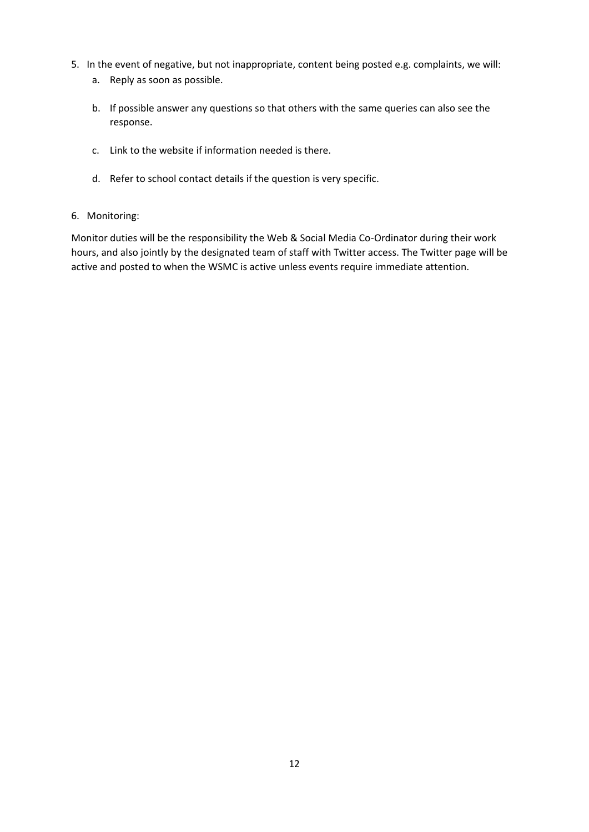- 5. In the event of negative, but not inappropriate, content being posted e.g. complaints, we will: a. Reply as soon as possible.
	- b. If possible answer any questions so that others with the same queries can also see the response.
	- c. Link to the website if information needed is there.
	- d. Refer to school contact details if the question is very specific.

### 6. Monitoring:

Monitor duties will be the responsibility the Web & Social Media Co-Ordinator during their work hours, and also jointly by the designated team of staff with Twitter access. The Twitter page will be active and posted to when the WSMC is active unless events require immediate attention.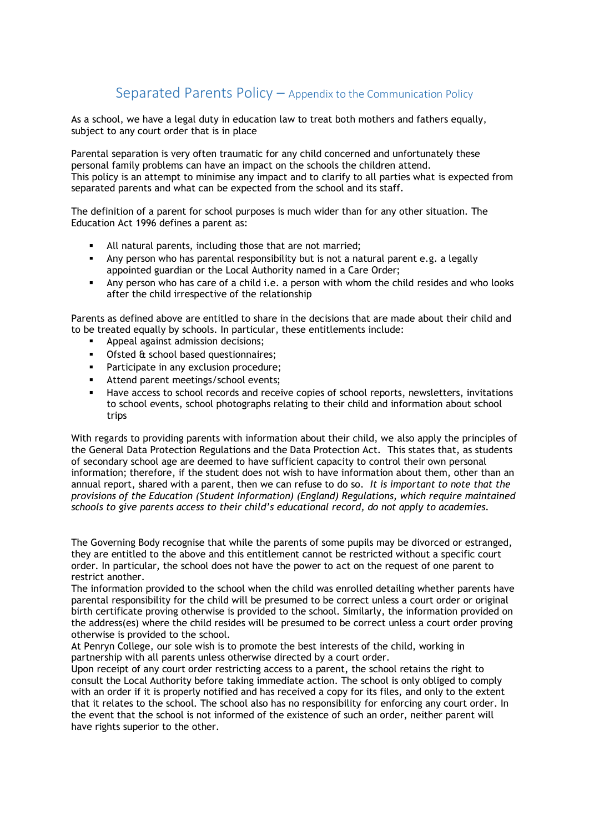# Separated Parents Policy – Appendix to the Communication Policy

As a school, we have a legal duty in education law to treat both mothers and fathers equally, subject to any court order that is in place

Parental separation is very often traumatic for any child concerned and unfortunately these personal family problems can have an impact on the schools the children attend. This policy is an attempt to minimise any impact and to clarify to all parties what is expected from separated parents and what can be expected from the school and its staff.

The definition of a parent for school purposes is much wider than for any other situation. The Education Act 1996 defines a parent as:

- All natural parents, including those that are not married;
- Any person who has parental responsibility but is not a natural parent e.g. a legally appointed guardian or the Local Authority named in a Care Order;
- Any person who has care of a child i.e. a person with whom the child resides and who looks after the child irrespective of the relationship

Parents as defined above are entitled to share in the decisions that are made about their child and to be treated equally by schools. In particular, these entitlements include:

- Appeal against admission decisions;
- Ofsted & school based questionnaires;
- Participate in any exclusion procedure;
- Attend parent meetings/school events;
- Have access to school records and receive copies of school reports, newsletters, invitations to school events, school photographs relating to their child and information about school trips

With regards to providing parents with information about their child, we also apply the principles of the General Data Protection Regulations and the Data Protection Act. This states that, as students of secondary school age are deemed to have sufficient capacity to control their own personal information; therefore, if the student does not wish to have information about them, other than an annual report, shared with a parent, then we can refuse to do so. *It is important to note that the provisions of the Education (Student Information) (England) Regulations, which require maintained schools to give parents access to their child's educational record, do not apply to academies.*

The Governing Body recognise that while the parents of some pupils may be divorced or estranged, they are entitled to the above and this entitlement cannot be restricted without a specific court order. In particular, the school does not have the power to act on the request of one parent to restrict another.

The information provided to the school when the child was enrolled detailing whether parents have parental responsibility for the child will be presumed to be correct unless a court order or original birth certificate proving otherwise is provided to the school. Similarly, the information provided on the address(es) where the child resides will be presumed to be correct unless a court order proving otherwise is provided to the school.

At Penryn College, our sole wish is to promote the best interests of the child, working in partnership with all parents unless otherwise directed by a court order.

Upon receipt of any court order restricting access to a parent, the school retains the right to consult the Local Authority before taking immediate action. The school is only obliged to comply with an order if it is properly notified and has received a copy for its files, and only to the extent that it relates to the school. The school also has no responsibility for enforcing any court order. In the event that the school is not informed of the existence of such an order, neither parent will have rights superior to the other.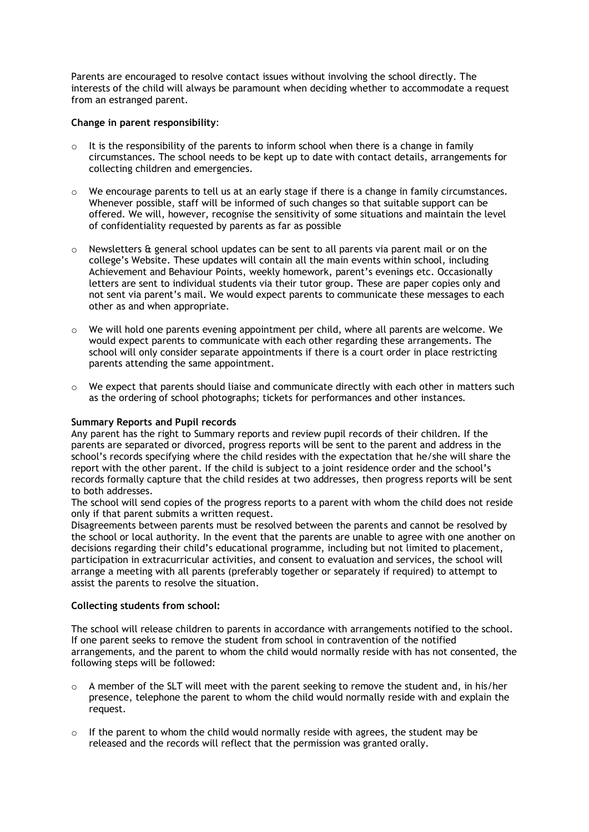Parents are encouraged to resolve contact issues without involving the school directly. The interests of the child will always be paramount when deciding whether to accommodate a request from an estranged parent.

#### **Change in parent responsibility**:

- $\circ$  It is the responsibility of the parents to inform school when there is a change in family circumstances. The school needs to be kept up to date with contact details, arrangements for collecting children and emergencies.
- $\circ$  We encourage parents to tell us at an early stage if there is a change in family circumstances. Whenever possible, staff will be informed of such changes so that suitable support can be offered. We will, however, recognise the sensitivity of some situations and maintain the level of confidentiality requested by parents as far as possible
- $\circ$  Newsletters & general school updates can be sent to all parents via parent mail or on the college's Website. These updates will contain all the main events within school, including Achievement and Behaviour Points, weekly homework, parent's evenings etc. Occasionally letters are sent to individual students via their tutor group. These are paper copies only and not sent via parent's mail. We would expect parents to communicate these messages to each other as and when appropriate.
- $\circ$  We will hold one parents evening appointment per child, where all parents are welcome. We would expect parents to communicate with each other regarding these arrangements. The school will only consider separate appointments if there is a court order in place restricting parents attending the same appointment.
- o We expect that parents should liaise and communicate directly with each other in matters such as the ordering of school photographs; tickets for performances and other instances.

### **Summary Reports and Pupil records**

Any parent has the right to Summary reports and review pupil records of their children. If the parents are separated or divorced, progress reports will be sent to the parent and address in the school's records specifying where the child resides with the expectation that he/she will share the report with the other parent. If the child is subject to a joint residence order and the school's records formally capture that the child resides at two addresses, then progress reports will be sent to both addresses.

The school will send copies of the progress reports to a parent with whom the child does not reside only if that parent submits a written request.

Disagreements between parents must be resolved between the parents and cannot be resolved by the school or local authority. In the event that the parents are unable to agree with one another on decisions regarding their child's educational programme, including but not limited to placement, participation in extracurricular activities, and consent to evaluation and services, the school will arrange a meeting with all parents (preferably together or separately if required) to attempt to assist the parents to resolve the situation.

#### **Collecting students from school:**

The school will release children to parents in accordance with arrangements notified to the school. If one parent seeks to remove the student from school in contravention of the notified arrangements, and the parent to whom the child would normally reside with has not consented, the following steps will be followed:

- o A member of the SLT will meet with the parent seeking to remove the student and, in his/her presence, telephone the parent to whom the child would normally reside with and explain the request.
- $\circ$  If the parent to whom the child would normally reside with agrees, the student may be released and the records will reflect that the permission was granted orally.